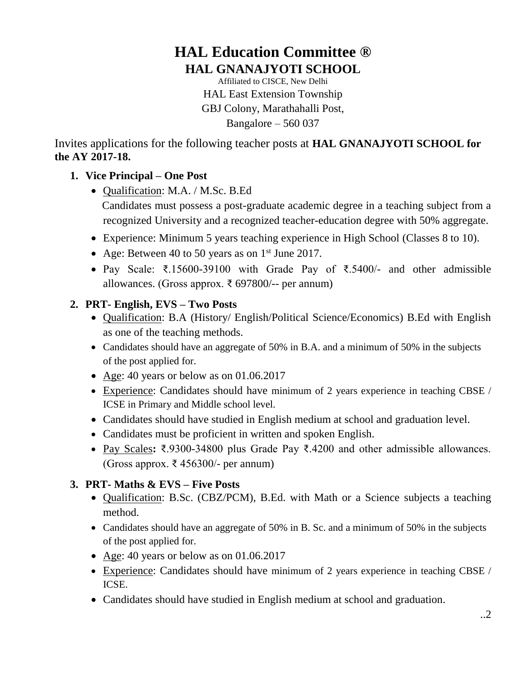# **HAL Education Committee ® HAL GNANAJYOTI SCHOOL**

Affiliated to CISCE, New Delhi HAL East Extension Township GBJ Colony, Marathahalli Post, Bangalore – 560 037

Invites applications for the following teacher posts at **HAL GNANAJYOTI SCHOOL for the AY 2017-18.**

## **1. Vice Principal – One Post**

- Qualification: M.A. / M.Sc. B.Ed Candidates must possess a post-graduate academic degree in a teaching subject from a recognized University and a recognized teacher-education degree with 50% aggregate.
- Experience: Minimum 5 years teaching experience in High School (Classes 8 to 10).
- Age: Between 40 to 50 years as on  $1<sup>st</sup>$  June 2017.
- Pay Scale: ₹.15600-39100 with Grade Pay of ₹.5400/- and other admissible allowances. (Gross approx. ₹ 697800/-- per annum)

#### **2. PRT- English, EVS – Two Posts**

- Qualification: B.A (History/ English/Political Science/Economics) B.Ed with English as one of the teaching methods.
- Candidates should have an aggregate of 50% in B.A. and a minimum of 50% in the subjects of the post applied for.
- Age: 40 years or below as on 01.06.2017
- Experience: Candidates should have minimum of 2 years experience in teaching CBSE / ICSE in Primary and Middle school level.
- Candidates should have studied in English medium at school and graduation level.
- Candidates must be proficient in written and spoken English.
- Pay Scales**:** ₹.9300-34800 plus Grade Pay ₹.4200 and other admissible allowances. (Gross approx. ₹ 456300/- per annum)

## **3. PRT- Maths & EVS – Five Posts**

- Qualification: B.Sc. (CBZ/PCM), B.Ed. with Math or a Science subjects a teaching method.
- Candidates should have an aggregate of 50% in B. Sc. and a minimum of 50% in the subjects of the post applied for.
- Age: 40 years or below as on 01.06.2017
- Experience: Candidates should have minimum of 2 years experience in teaching CBSE / ICSE.
- Candidates should have studied in English medium at school and graduation.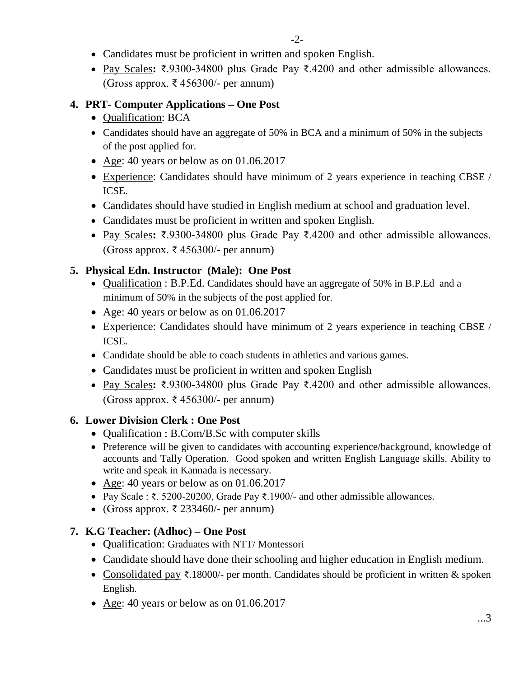- Candidates must be proficient in written and spoken English.
- Pay Scales**:** ₹.9300-34800 plus Grade Pay ₹.4200 and other admissible allowances. (Gross approx. ₹ 456300/- per annum)

## **4. PRT- Computer Applications – One Post**

- Qualification: BCA
- Candidates should have an aggregate of 50% in BCA and a minimum of 50% in the subjects of the post applied for.
- Age: 40 years or below as on 01.06.2017
- Experience: Candidates should have minimum of 2 years experience in teaching CBSE / ICSE.
- Candidates should have studied in English medium at school and graduation level.
- Candidates must be proficient in written and spoken English.
- Pay Scales**:** ₹.9300-34800 plus Grade Pay ₹.4200 and other admissible allowances. (Gross approx. ₹ 456300/- per annum)

# **5. Physical Edn. Instructor (Male): One Post**

- Qualification : B.P.Ed. Candidates should have an aggregate of 50% in B.P.Ed and a minimum of 50% in the subjects of the post applied for.
- Age: 40 years or below as on 01.06.2017
- Experience: Candidates should have minimum of 2 years experience in teaching CBSE / ICSE.
- Candidate should be able to coach students in athletics and various games.
- Candidates must be proficient in written and spoken English
- Pay Scales**:** ₹.9300-34800 plus Grade Pay ₹.4200 and other admissible allowances. (Gross approx. ₹ 456300/- per annum)

## **6. Lower Division Clerk : One Post**

- Qualification : B.Com/B.Sc with computer skills
- Preference will be given to candidates with accounting experience/background, knowledge of accounts and Tally Operation. Good spoken and written English Language skills. Ability to write and speak in Kannada is necessary.
- Age: 40 years or below as on 01.06.2017
- Pay Scale : ₹. 5200-20200, Grade Pay ₹.1900/- and other admissible allowances.
- (Gross approx.  $\bar{\tau}$  233460/- per annum)

## **7. K.G Teacher: (Adhoc) – One Post**

- Qualification: Graduates with NTT/ Montessori
- Candidate should have done their schooling and higher education in English medium.
- Consolidated pay ₹.18000/- per month. Candidates should be proficient in written & spoken English.
- Age: 40 years or below as on 01.06.2017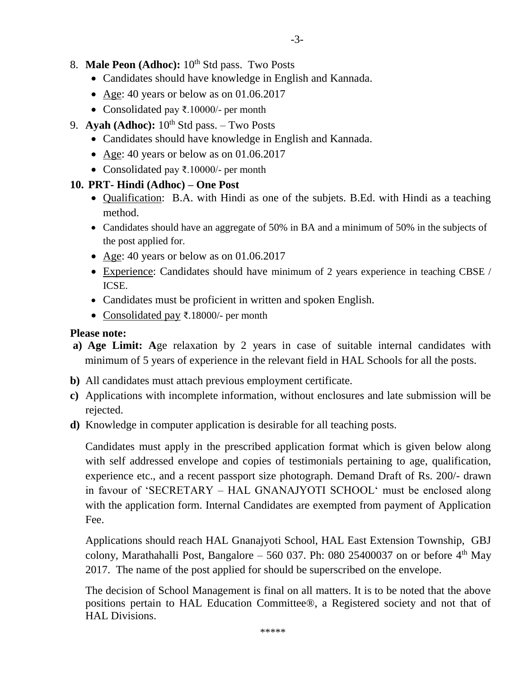- Candidates should have knowledge in English and Kannada.
- Age: 40 years or below as on 01.06.2017
- Consolidated pay ₹.10000/- per month
- 9. **Ayah (Adhoc):**  $10^{th}$  Std pass. Two Posts
	- Candidates should have knowledge in English and Kannada.
	- Age: 40 years or below as on 01.06.2017
	- Consolidated pay ₹.10000/- per month

#### **10. PRT- Hindi (Adhoc) – One Post**

- Qualification: B.A. with Hindi as one of the subjets. B.Ed. with Hindi as a teaching method.
- Candidates should have an aggregate of 50% in BA and a minimum of 50% in the subjects of the post applied for.
- Age: 40 years or below as on 01.06.2017
- Experience: Candidates should have minimum of 2 years experience in teaching CBSE / ICSE.
- Candidates must be proficient in written and spoken English.
- Consolidated pay ₹.18000/- per month

#### **Please note:**

- **a) Age Limit: A**ge relaxation by 2 years in case of suitable internal candidates with minimum of 5 years of experience in the relevant field in HAL Schools for all the posts.
- **b)** All candidates must attach previous employment certificate.
- **c)** Applications with incomplete information, without enclosures and late submission will be rejected.
- **d)** Knowledge in computer application is desirable for all teaching posts.

Candidates must apply in the prescribed application format which is given below along with self addressed envelope and copies of testimonials pertaining to age, qualification, experience etc., and a recent passport size photograph. Demand Draft of Rs. 200/- drawn in favour of 'SECRETARY – HAL GNANAJYOTI SCHOOL' must be enclosed along with the application form. Internal Candidates are exempted from payment of Application Fee.

Applications should reach HAL Gnanajyoti School, HAL East Extension Township, GBJ colony, Marathahalli Post, Bangalore  $-560$  037. Ph: 080 25400037 on or before  $4<sup>th</sup>$  May 2017. The name of the post applied for should be superscribed on the envelope.

The decision of School Management is final on all matters. It is to be noted that the above positions pertain to HAL Education Committee®, a Registered society and not that of HAL Divisions.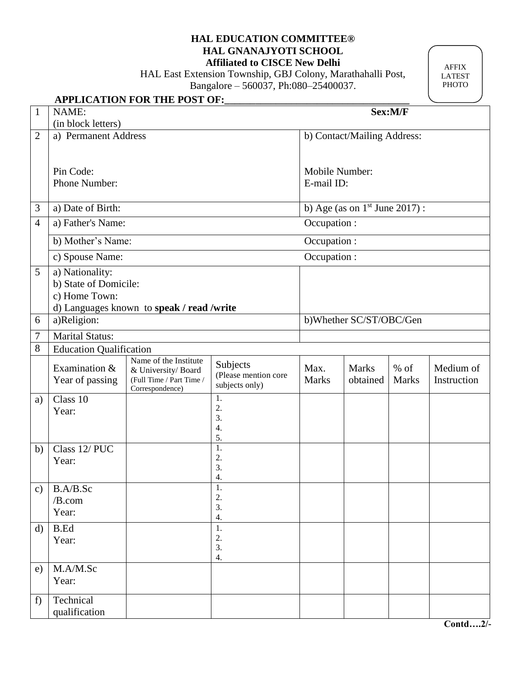#### **HAL EDUCATION COMMITTEE® HAL GNANAJYOTI SCHOOL Affiliated to CISCE New Delhi**

HAL East Extension Township, GBJ Colony, Marathahalli Post,

Bangalore – 560037, Ph:080–25400037.

AFFIX LATEST PHOTO

# **APPLICATION FOR THE POST OF:\_\_\_\_\_\_\_\_\_\_\_\_\_\_\_\_\_\_\_\_\_\_\_\_\_\_\_\_\_\_\_\_\_\_\_\_**

1 NAME: **Sex:M/F**

|                | (in block letters)             |                                              |                                        |              |                             |              |             |  |  |
|----------------|--------------------------------|----------------------------------------------|----------------------------------------|--------------|-----------------------------|--------------|-------------|--|--|
| $\overline{2}$ | a) Permanent Address           |                                              |                                        |              | b) Contact/Mailing Address: |              |             |  |  |
|                |                                |                                              |                                        |              |                             |              |             |  |  |
|                | Pin Code:                      |                                              | Mobile Number:                         |              |                             |              |             |  |  |
|                | Phone Number:                  |                                              | E-mail ID:                             |              |                             |              |             |  |  |
|                |                                |                                              |                                        |              |                             |              |             |  |  |
| 3              | a) Date of Birth:              |                                              | b) Age (as on $1st$ June 2017):        |              |                             |              |             |  |  |
| $\overline{4}$ | a) Father's Name:              | Occupation :                                 |                                        |              |                             |              |             |  |  |
|                | b) Mother's Name:              | Occupation :                                 |                                        |              |                             |              |             |  |  |
|                | c) Spouse Name:                |                                              | Occupation :                           |              |                             |              |             |  |  |
| 5              | a) Nationality:                |                                              |                                        |              |                             |              |             |  |  |
|                | b) State of Domicile:          |                                              |                                        |              |                             |              |             |  |  |
|                | c) Home Town:                  |                                              |                                        |              |                             |              |             |  |  |
|                | a)Religion:                    | d) Languages known to speak / read /write    |                                        |              |                             |              |             |  |  |
| 6              |                                |                                              | b)Whether SC/ST/OBC/Gen                |              |                             |              |             |  |  |
| 7              | Marital Status:                |                                              |                                        |              |                             |              |             |  |  |
| 8              | <b>Education Qualification</b> |                                              |                                        |              |                             |              |             |  |  |
|                | Examination &                  | Name of the Institute<br>& University/ Board | Subjects                               | Max.         | <b>Marks</b>                | $%$ of       | Medium of   |  |  |
|                | Year of passing                | (Full Time / Part Time /<br>Correspondence)  | (Please mention core<br>subjects only) | <b>Marks</b> | obtained                    | <b>Marks</b> | Instruction |  |  |
| a)             | Class 10                       |                                              | 1.                                     |              |                             |              |             |  |  |
|                | Year:                          |                                              | 2.<br>3.                               |              |                             |              |             |  |  |
|                |                                |                                              | $\overline{4}$ .                       |              |                             |              |             |  |  |
|                |                                |                                              | 5.                                     |              |                             |              |             |  |  |
| b)             | Class 12/PUC                   |                                              | 1.<br>2.                               |              |                             |              |             |  |  |
|                | Year:                          |                                              | 3.                                     |              |                             |              |             |  |  |
|                |                                |                                              | 4.                                     |              |                             |              |             |  |  |
| $\mathbf{c})$  | B.A/B.Sc                       |                                              | 1.                                     |              |                             |              |             |  |  |
|                | /B.com                         |                                              | 2.<br>3.                               |              |                             |              |             |  |  |
|                | Year:                          |                                              | 4.                                     |              |                             |              |             |  |  |
| $\mathbf{d}$   | <b>B.Ed</b>                    |                                              | 1.                                     |              |                             |              |             |  |  |
|                | Year:                          |                                              | 2.                                     |              |                             |              |             |  |  |
|                |                                |                                              | 3.<br>4.                               |              |                             |              |             |  |  |
| e)             | M.A/M.Sc                       |                                              |                                        |              |                             |              |             |  |  |
|                | Year:                          |                                              |                                        |              |                             |              |             |  |  |
|                |                                |                                              |                                        |              |                             |              |             |  |  |
| f)             | Technical<br>qualification     |                                              |                                        |              |                             |              |             |  |  |
|                |                                |                                              |                                        |              |                             |              |             |  |  |